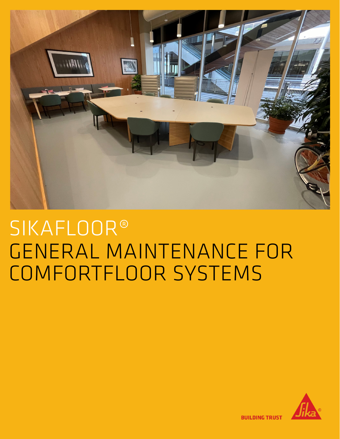

## SIKAFLOOR® GENERAL MAINTENANCE FOR COMFORTFLOOR SYSTEMS



**BUILDING TRUST**